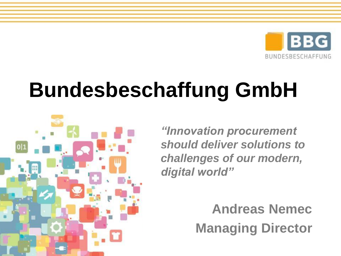

# **Bundesbeschaffung GmbH**



*"Innovation procurement should deliver solutions to challenges of our modern, digital world"*

> **Andreas Nemec Managing Director**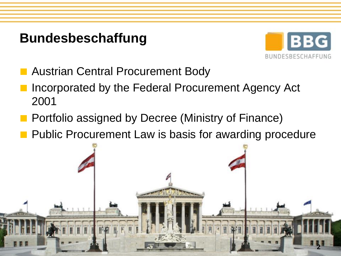# **Bundesbeschaffung**



**2**

- **Austrian Central Procurement Body**
- Incorporated by the Federal Procurement Agency Act 2001
- **Portfolio assigned by Decree (Ministry of Finance)**
- **Public Procurement Law is basis for awarding procedure**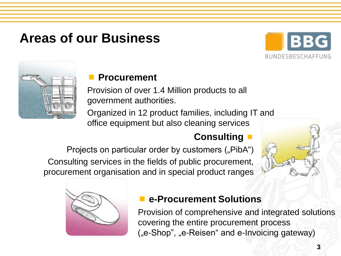# **Areas of our Business**





### **Procurement**

Provision of over 1.4 Million products to all government authorities.

Organized in 12 product families, including IT and office equipment but also cleaning services

### **Consulting**

Projects on particular order by customers ("PibA") Consulting services in the fields of public procurement, procurement organisation and in special product ranges





### **e-Procurement Solutions**

Provision of comprehensive and integrated solutions covering the entire procurement process ("e-Shop", "e-Reisen" and e-Invoicing gateway)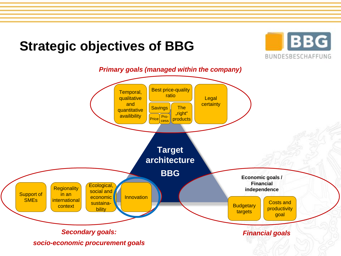# **Strategic objectives of BBG**



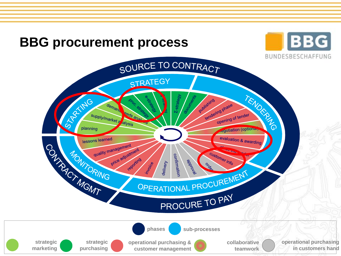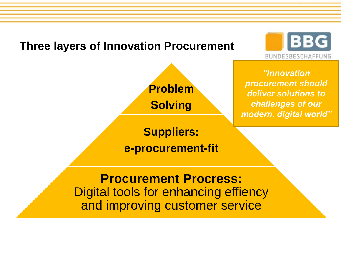### **Three layers of Innovation Procurement**





*"Innovation procurement should deliver solutions to challenges of our modern, digital world"*

**Suppliers: e-procurement-fit**

**Procurement Procress:**  Digital tools for enhancing effiency and improving customer service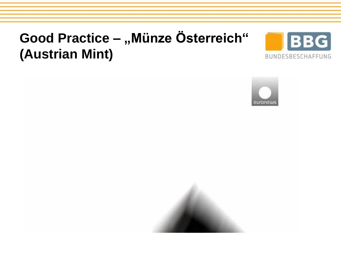# **Good Practice – "Münze Österreich" (Austrian Mint)**





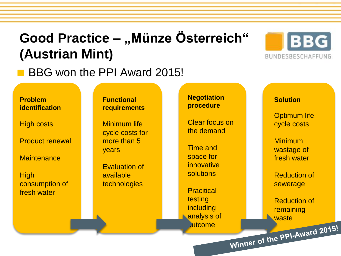# **Good Practice – "Münze Österreich" (Austrian Mint)**





#### **Problem identification**

High costs

Product renewal

**Maintenance** 

**High** consumption of fresh water

#### **Functional requirements**

Minimum life cycle costs for more than 5 years

Evaluation of available technologies

**Negotiation procedure**

Clear focus on the demand

Time and space for innovative solutions

**Pracitical** testing including analysis of **Autcome** 

#### **Solution**

Optimum life cycle costs

Minimum wastage of fresh water

Reduction of sewerage

Reduction of remaining Winner of the PPI-Award 2015!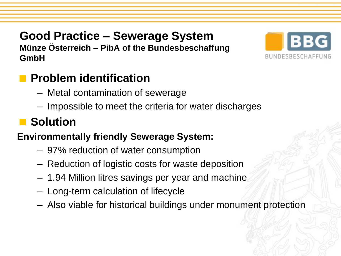### **Good Practice – Sewerage System Münze Österreich – PibA of the Bundesbeschaffung**



### **Problem identification**

- Metal contamination of sewerage
- Impossible to meet the criteria for water discharges

# **N** Solution

**GmbH**

### **Environmentally friendly Sewerage System:**

- 97% reduction of water consumption
- Reduction of logistic costs for waste deposition
- 1.94 Million litres savings per year and machine
- Long-term calculation of lifecycle
- Also viable for historical buildings under monument protection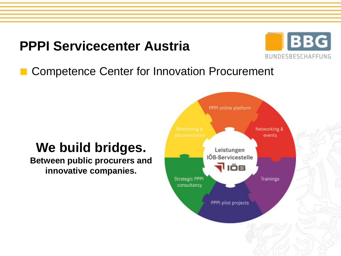# **PPPI Servicecenter Austria**



### Competence Center for Innovation Procurement

## **We build bridges.**

**Between public procurers and innovative companies.**